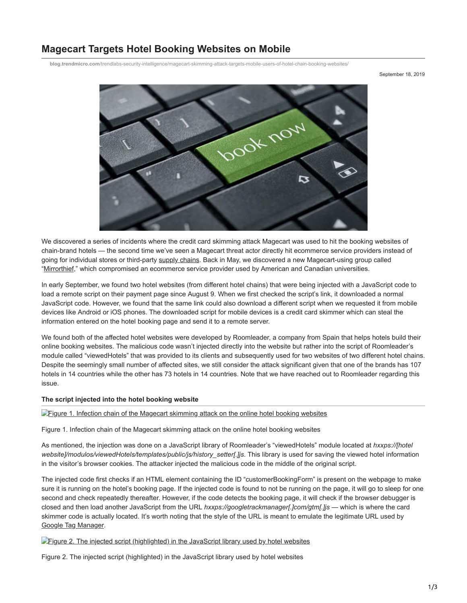# **Magecart Targets Hotel Booking Websites on Mobile**

**blog.trendmicro.com**[/trendlabs-security-intelligence/magecart-skimming-attack-targets-mobile-users-of-hotel-chain-booking-websites/](https://blog.trendmicro.com/trendlabs-security-intelligence/magecart-skimming-attack-targets-mobile-users-of-hotel-chain-booking-websites/)

September 18, 2019



We discovered a series of incidents where the credit card skimming attack Magecart was used to hit the booking websites of chain-brand hotels — the second time we've seen a Magecart threat actor directly hit ecommerce service providers instead of going for individual stores or third-party [supply chains.](https://blog.trendmicro.com/trendlabs-security-intelligence/new-magecart-attack-delivered-through-compromised-advertising-supply-chain/) Back in May, we discovered a new Magecart-using group called ["Mirrorthief,](https://blog.trendmicro.com/trendlabs-security-intelligence/mirrorthief-group-uses-magecart-skimming-attack-to-hit-hundreds-of-campus-online-stores-in-us-and-canada/)" which compromised an ecommerce service provider used by American and Canadian universities.

In early September, we found two hotel websites (from different hotel chains) that were being injected with a JavaScript code to load a remote script on their payment page since August 9. When we first checked the script's link, it downloaded a normal JavaScript code. However, we found that the same link could also download a different script when we requested it from mobile devices like Android or iOS phones. The downloaded script for mobile devices is a credit card skimmer which can steal the information entered on the hotel booking page and send it to a remote server.

We found both of the affected hotel websites were developed by Roomleader, a company from Spain that helps hotels build their online booking websites. The malicious code wasn't injected directly into the website but rather into the script of Roomleader's module called "viewedHotels" that was provided to its clients and subsequently used for two websites of two different hotel chains. Despite the seemingly small number of affected sites, we still consider the attack significant given that one of the brands has 107 hotels in 14 countries while the other has 73 hotels in 14 countries. Note that we have reached out to Roomleader regarding this issue.

#### **The script injected into the hotel booking website**

**[Figure 1. Infection chain of the Magecart skimming attack on the online hotel booking websites](https://blog.trendmicro.com/content/dam/trendmicro/global/en/migrated/security-intelligence-migration-spreadsheet/trendlabs-security-intelligence/2019/09/magecart-mobile-hotels-1.jpg)** 

Figure 1. Infection chain of the Magecart skimming attack on the online hotel booking websites

As mentioned, the injection was done on a JavaScript library of Roomleader's "viewedHotels" module located at *hxxps://[hotel* website]/modulos/viewedHotels/templates/public/js/history\_setter[.]js. This library is used for saving the viewed hotel information in the visitor's browser cookies. The attacker injected the malicious code in the middle of the original script.

The injected code first checks if an HTML element containing the ID "customerBookingForm" is present on the webpage to make sure it is running on the hotel's booking page. If the injected code is found to not be running on the page, it will go to sleep for one second and check repeatedly thereafter. However, if the code detects the booking page, it will check if the browser debugger is closed and then load another JavaScript from the URL *hxxps://googletrackmanager[.]com/gtm[.]js* — which is where the card skimmer code is actually located. It's worth noting that the style of the URL is meant to emulate the legitimate URL used by [Google Tag Manager](https://tagmanager.google.com/).

[Figure 2. The injected script \(highlighted\) in the JavaScript library used by hotel websites](https://blog.trendmicro.com/content/dam/trendmicro/global/en/migrated/security-intelligence-migration-spreadsheet/trendlabs-security-intelligence/2019/09/magecart-mobile-hotels-2.png)

Figure 2. The injected script (highlighted) in the JavaScript library used by hotel websites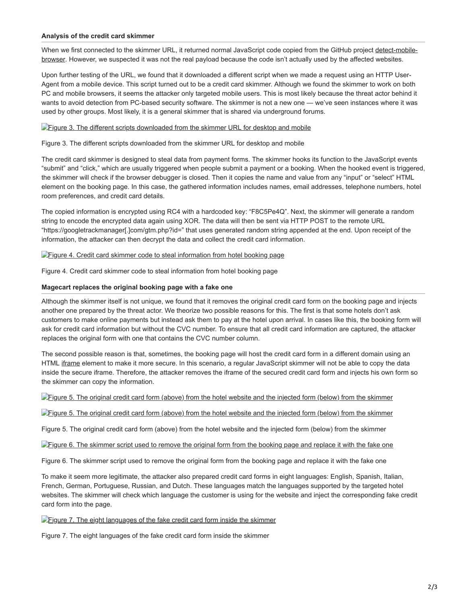#### **Analysis of the credit card skimmer**

[When we first connected to the skimmer URL, it returned normal JavaScript code copied from the GitHub project detect-mobile](https://github.com/smali-kazmi/detect-mobile-browser/blob/master/detect-browser.js)browser. However, we suspected it was not the real payload because the code isn't actually used by the affected websites.

Upon further testing of the URL, we found that it downloaded a different script when we made a request using an HTTP User-Agent from a mobile device. This script turned out to be a credit card skimmer. Although we found the skimmer to work on both PC and mobile browsers, it seems the attacker only targeted mobile users. This is most likely because the threat actor behind it wants to avoid detection from PC-based security software. The skimmer is not a new one — we've seen instances where it was used by other groups. Most likely, it is a general skimmer that is shared via underground forums.

#### **[Figure 3. The different scripts downloaded from the skimmer URL for desktop and mobile](https://blog.trendmicro.com/content/dam/trendmicro/global/en/migrated/security-intelligence-migration-spreadsheet/trendlabs-security-intelligence/2019/09/magecart-mobile-hotels-3.png)**

Figure 3. The different scripts downloaded from the skimmer URL for desktop and mobile

The credit card skimmer is designed to steal data from payment forms. The skimmer hooks its function to the JavaScript events "submit" and "click," which are usually triggered when people submit a payment or a booking. When the hooked event is triggered, the skimmer will check if the browser debugger is closed. Then it copies the name and value from any "input" or "select" HTML element on the booking page. In this case, the gathered information includes names, email addresses, telephone numbers, hotel room preferences, and credit card details.

The copied information is encrypted using RC4 with a hardcoded key: "F8C5Pe4Q". Next, the skimmer will generate a random string to encode the encrypted data again using XOR. The data will then be sent via HTTP POST to the remote URL "https://googletrackmanager[.]com/gtm.php?id=" that uses generated random string appended at the end. Upon receipt of the information, the attacker can then decrypt the data and collect the credit card information.

## **[Figure 4. Credit card skimmer code to steal information from hotel booking page](https://blog.trendmicro.com/content/dam/trendmicro/global/en/migrated/security-intelligence-migration-spreadsheet/trendlabs-security-intelligence/2019/09/magecart-mobile-hotels-4.png)**

Figure 4. Credit card skimmer code to steal information from hotel booking page

## **Magecart replaces the original booking page with a fake one**

Although the skimmer itself is not unique, we found that it removes the original credit card form on the booking page and injects another one prepared by the threat actor. We theorize two possible reasons for this. The first is that some hotels don't ask customers to make online payments but instead ask them to pay at the hotel upon arrival. In cases like this, the booking form will ask for credit card information but without the CVC number. To ensure that all credit card information are captured, the attacker replaces the original form with one that contains the CVC number column.

The second possible reason is that, sometimes, the booking page will host the credit card form in a different domain using an HTML [iframe](https://developer.mozilla.org/en-US/docs/Web/HTML/Element/iframe) element to make it more secure. In this scenario, a regular JavaScript skimmer will not be able to copy the data inside the secure iframe. Therefore, the attacker removes the iframe of the secured credit card form and injects his own form so the skimmer can copy the information.

[Figure 5. The original credit card form \(above\) from the hotel website and the injected form \(below\) from the skimmer](https://blog.trendmicro.com/content/dam/trendmicro/global/en/migrated/security-intelligence-migration-spreadsheet/trendlabs-security-intelligence/2019/09/magecart-mobile-hotels-5.png)

## [Figure 5. The original credit card form \(above\) from the hotel website and the injected form \(below\) from the skimmer](https://blog.trendmicro.com/content/dam/trendmicro/global/en/migrated/security-intelligence-migration-spreadsheet/trendlabs-security-intelligence/2019/09/magecart-mobile-hotels-6.png)

Figure 5. The original credit card form (above) from the hotel website and the injected form (below) from the skimmer

[Figure 6. The skimmer script used to remove the original form from the booking page and replace it with the fake one](https://blog.trendmicro.com/content/dam/trendmicro/global/en/migrated/security-intelligence-migration-spreadsheet/trendlabs-security-intelligence/2019/09/magecart-mobile-hotels-7.png)

Figure 6. The skimmer script used to remove the original form from the booking page and replace it with the fake one

To make it seem more legitimate, the attacker also prepared credit card forms in eight languages: English, Spanish, Italian, French, German, Portuguese, Russian, and Dutch. These languages match the languages supported by the targeted hotel websites. The skimmer will check which language the customer is using for the website and inject the corresponding fake credit card form into the page.

**Figure 7.** The eight languages of the fake credit card form inside the skimmer

Figure 7. The eight languages of the fake credit card form inside the skimmer